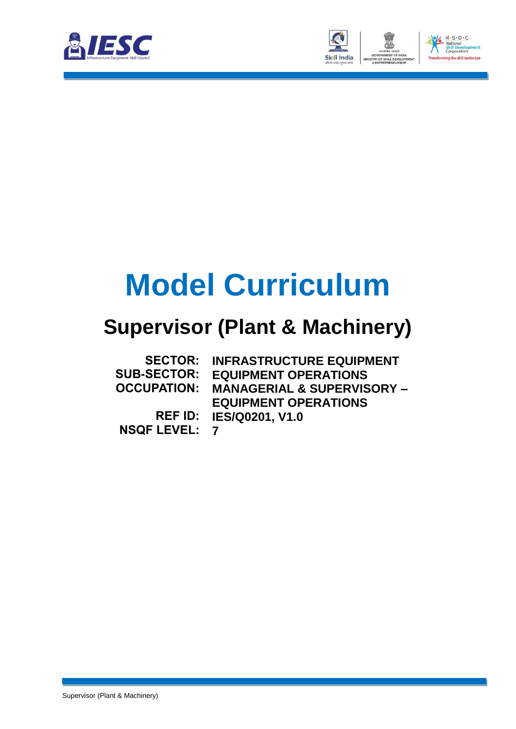



## **Model Curriculum**

### **Supervisor (Plant & Machinery)**

|                      | <b>SECTOR: INFRASTRUCTURE EQUIPMENT</b>           |
|----------------------|---------------------------------------------------|
| <b>SUB-SECTOR:</b>   | <b>EQUIPMENT OPERATIONS</b>                       |
|                      | <b>OCCUPATION: MANAGERIAL &amp; SUPERVISORY -</b> |
|                      | <b>EQUIPMENT OPERATIONS</b>                       |
|                      | <b>REF ID: IES/Q0201, V1.0</b>                    |
| <b>NSQF LEVEL: 7</b> |                                                   |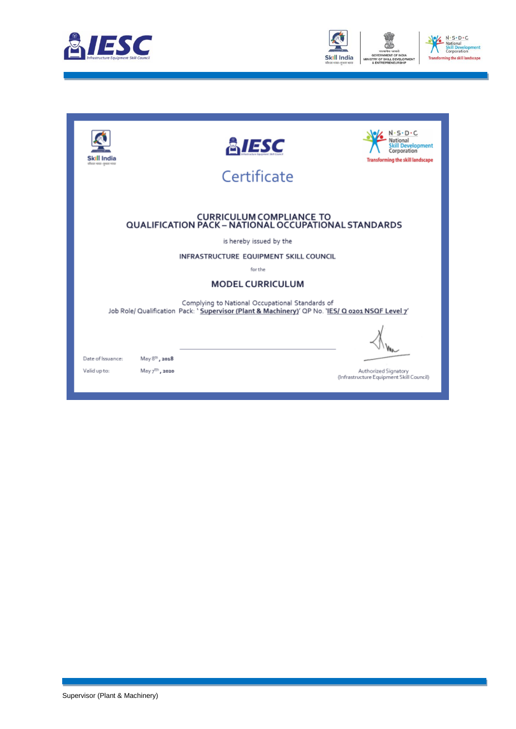



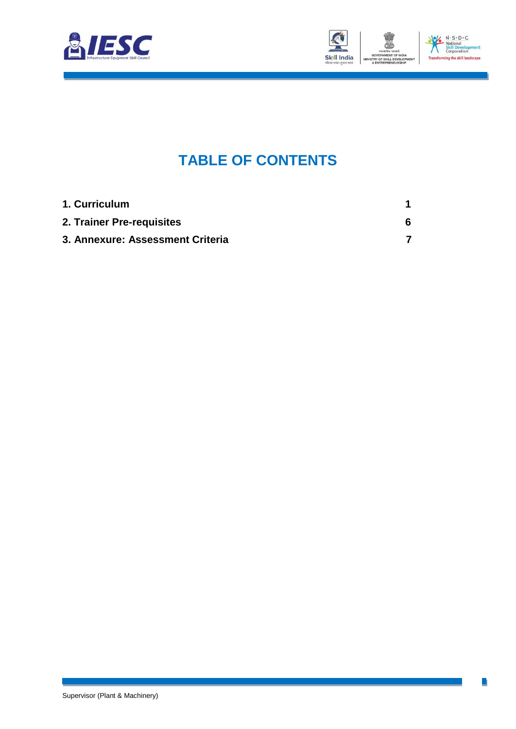



### **TABLE OF CONTENTS**

| 1. Curriculum                    |   |
|----------------------------------|---|
| 2. Trainer Pre-requisites        | 6 |
| 3. Annexure: Assessment Criteria |   |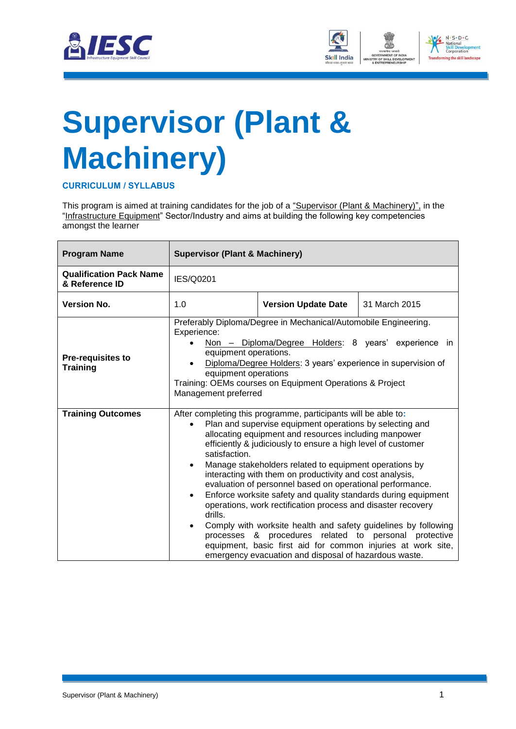



# <span id="page-3-0"></span>**Supervisor (Plant & Machinery)**

**CURRICULUM / SYLLABUS**

This program is aimed at training candidates for the job of a "Supervisor (Plant & Machinery)", in the "Infrastructure Equipment" Sector/Industry and aims at building the following key competencies amongst the learner

| <b>Program Name</b>                              | <b>Supervisor (Plant &amp; Machinery)</b>                                                                                                                                                                                                                                                                                                                                                                                                                                                                                                                                                                                                                                                                                                                                                                                              |                                             |  |  |  |  |  |
|--------------------------------------------------|----------------------------------------------------------------------------------------------------------------------------------------------------------------------------------------------------------------------------------------------------------------------------------------------------------------------------------------------------------------------------------------------------------------------------------------------------------------------------------------------------------------------------------------------------------------------------------------------------------------------------------------------------------------------------------------------------------------------------------------------------------------------------------------------------------------------------------------|---------------------------------------------|--|--|--|--|--|
| <b>Qualification Pack Name</b><br>& Reference ID | IES/Q0201                                                                                                                                                                                                                                                                                                                                                                                                                                                                                                                                                                                                                                                                                                                                                                                                                              |                                             |  |  |  |  |  |
| <b>Version No.</b>                               | 1.0                                                                                                                                                                                                                                                                                                                                                                                                                                                                                                                                                                                                                                                                                                                                                                                                                                    | <b>Version Update Date</b><br>31 March 2015 |  |  |  |  |  |
| <b>Pre-requisites to</b><br><b>Training</b>      | Preferably Diploma/Degree in Mechanical/Automobile Engineering.<br>Experience:<br>Non - Diploma/Degree Holders: 8 years' experience in<br>equipment operations.<br>Diploma/Degree Holders: 3 years' experience in supervision of<br>equipment operations<br>Training: OEMs courses on Equipment Operations & Project<br>Management preferred                                                                                                                                                                                                                                                                                                                                                                                                                                                                                           |                                             |  |  |  |  |  |
| <b>Training Outcomes</b>                         | After completing this programme, participants will be able to:<br>Plan and supervise equipment operations by selecting and<br>allocating equipment and resources including manpower<br>efficiently & judiciously to ensure a high level of customer<br>satisfaction.<br>Manage stakeholders related to equipment operations by<br>$\bullet$<br>interacting with them on productivity and cost analysis,<br>evaluation of personnel based on operational performance.<br>Enforce worksite safety and quality standards during equipment<br>$\bullet$<br>operations, work rectification process and disaster recovery<br>drills.<br>Comply with worksite health and safety guidelines by following<br>$\bullet$<br>processes & procedures related to personal protective<br>equipment, basic first aid for common injuries at work site, |                                             |  |  |  |  |  |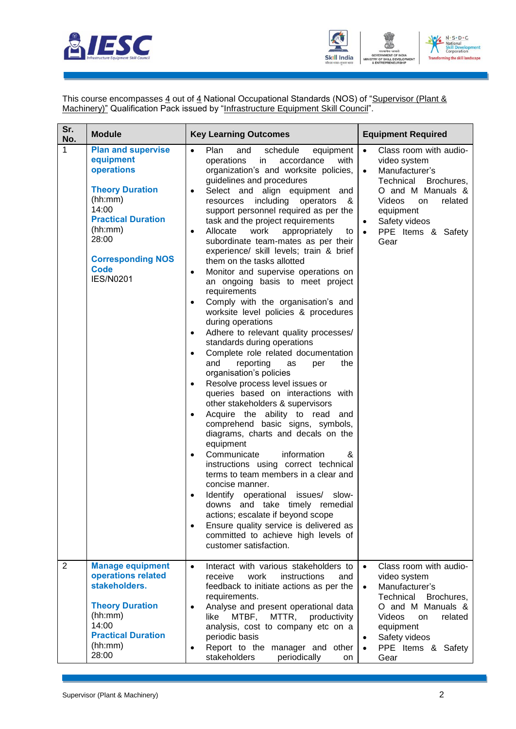



This course encompasses 4 out of 4 National Occupational Standards (NOS) of "Supervisor (Plant & Machinery)" Qualification Pack issued by "Infrastructure Equipment Skill Council".

| Sr.<br>No.     | <b>Module</b>                                                                                                                                                                                                      | <b>Key Learning Outcomes</b>                                                                                                                                                                                                                                                                                                                                                                                                                                                                                                                                                                                                                                                                                                                                                                                                                                                                                                                                                                                                                                                                                                                                                                                                                                                                                                                                                                                                                                                                                                                                                                            | <b>Equipment Required</b>                                                                                                                                                                                                                     |  |  |
|----------------|--------------------------------------------------------------------------------------------------------------------------------------------------------------------------------------------------------------------|---------------------------------------------------------------------------------------------------------------------------------------------------------------------------------------------------------------------------------------------------------------------------------------------------------------------------------------------------------------------------------------------------------------------------------------------------------------------------------------------------------------------------------------------------------------------------------------------------------------------------------------------------------------------------------------------------------------------------------------------------------------------------------------------------------------------------------------------------------------------------------------------------------------------------------------------------------------------------------------------------------------------------------------------------------------------------------------------------------------------------------------------------------------------------------------------------------------------------------------------------------------------------------------------------------------------------------------------------------------------------------------------------------------------------------------------------------------------------------------------------------------------------------------------------------------------------------------------------------|-----------------------------------------------------------------------------------------------------------------------------------------------------------------------------------------------------------------------------------------------|--|--|
| $\mathbf{1}$   | <b>Plan and supervise</b><br>equipment<br>operations<br><b>Theory Duration</b><br>(hh:mm)<br>14:00<br><b>Practical Duration</b><br>(hh:mm)<br>28:00<br><b>Corresponding NOS</b><br><b>Code</b><br><b>IES/N0201</b> | $\bullet$<br>Plan<br>schedule<br>equipment<br>and<br>accordance<br>with<br>operations<br>in<br>organization's and worksite policies,<br>guidelines and procedures<br>Select and align equipment and<br>$\bullet$<br>including operators<br>resources<br>- &<br>support personnel required as per the<br>task and the project requirements<br>Allocate<br>work<br>appropriately<br>to<br>$\bullet$<br>subordinate team-mates as per their<br>experience/ skill levels; train & brief<br>them on the tasks allotted<br>Monitor and supervise operations on<br>$\bullet$<br>an ongoing basis to meet project<br>requirements<br>Comply with the organisation's and<br>$\bullet$<br>worksite level policies & procedures<br>during operations<br>Adhere to relevant quality processes/<br>$\bullet$<br>standards during operations<br>Complete role related documentation<br>$\bullet$<br>reporting<br>and<br>the<br>as<br>per<br>organisation's policies<br>Resolve process level issues or<br>$\bullet$<br>queries based on interactions with<br>other stakeholders & supervisors<br>Acquire the ability to read<br>and<br>comprehend basic signs, symbols,<br>diagrams, charts and decals on the<br>equipment<br>Communicate<br>information<br>&<br>$\bullet$<br>instructions using correct technical<br>terms to team members in a clear and<br>concise manner.<br>Identify operational issues/<br>slow-<br>downs and take timely remedial<br>actions; escalate if beyond scope<br>Ensure quality service is delivered as<br>$\bullet$<br>committed to achieve high levels of<br>customer satisfaction. | Class room with audio-<br>$\bullet$<br>video system<br>Manufacturer's<br>$\bullet$<br>Technical<br>Brochures,<br>O and M Manuals &<br><b>Videos</b><br>related<br>on<br>equipment<br>Safety videos<br>PPE Items & Safety<br>$\bullet$<br>Gear |  |  |
| $\overline{2}$ | <b>Manage equipment</b><br>operations related<br>stakeholders.<br><b>Theory Duration</b><br>(hh:mm)<br>14:00<br><b>Practical Duration</b><br>(hh:mm)<br>28:00                                                      | Interact with various stakeholders to<br>$\bullet$<br>receive<br>work<br>instructions<br>and<br>feedback to initiate actions as per the<br>requirements.<br>Analyse and present operational data<br>$\bullet$<br>like<br>MTBF,<br>MTTR, productivity<br>analysis, cost to company etc on a<br>periodic basis<br>Report to the manager and other<br>٠<br>stakeholders<br>periodically<br>on                                                                                                                                                                                                                                                                                                                                                                                                                                                                                                                                                                                                                                                                                                                                                                                                                                                                                                                                                                                                                                                                                                                                                                                                              | Class room with audio-<br>$\bullet$<br>video system<br>Manufacturer's<br>$\bullet$<br>Technical<br>Brochures,<br>O and M Manuals &<br>Videos<br>related<br><b>on</b><br>equipment<br>Safety videos<br>PPE Items & Safety<br>$\bullet$<br>Gear |  |  |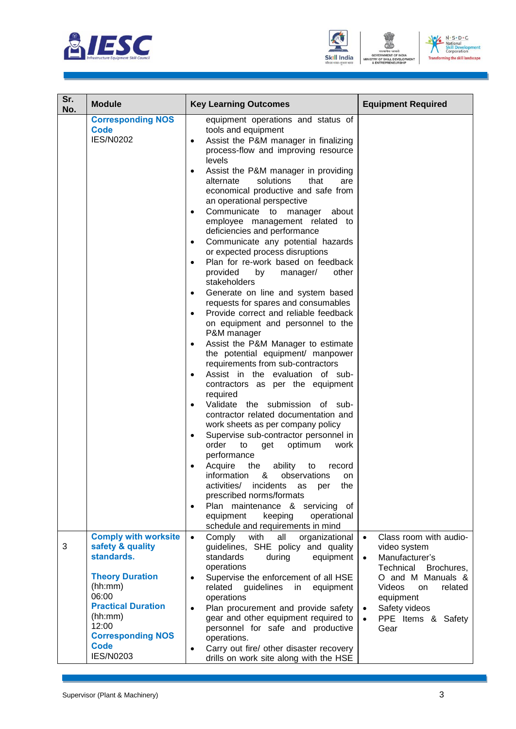





| Sr.<br>No. | <b>Module</b>                                                                                                                                                | <b>Key Learning Outcomes</b>                                                                                                                                                                                                                                                                                                                                                                                                                                                                                                                                                                                                                                                                                                                                                                                                                                                                                                                                                                                                                                                                                                                                                                                                                                                                                                                                                                                                                                                                                                                                 | <b>Equipment Required</b>                                                                                                                                                                                                     |
|------------|--------------------------------------------------------------------------------------------------------------------------------------------------------------|--------------------------------------------------------------------------------------------------------------------------------------------------------------------------------------------------------------------------------------------------------------------------------------------------------------------------------------------------------------------------------------------------------------------------------------------------------------------------------------------------------------------------------------------------------------------------------------------------------------------------------------------------------------------------------------------------------------------------------------------------------------------------------------------------------------------------------------------------------------------------------------------------------------------------------------------------------------------------------------------------------------------------------------------------------------------------------------------------------------------------------------------------------------------------------------------------------------------------------------------------------------------------------------------------------------------------------------------------------------------------------------------------------------------------------------------------------------------------------------------------------------------------------------------------------------|-------------------------------------------------------------------------------------------------------------------------------------------------------------------------------------------------------------------------------|
|            | <b>Corresponding NOS</b><br><b>Code</b><br><b>IES/N0202</b>                                                                                                  | equipment operations and status of<br>tools and equipment<br>Assist the P&M manager in finalizing<br>$\bullet$<br>process-flow and improving resource<br>levels<br>Assist the P&M manager in providing<br>$\bullet$<br>solutions<br>that<br>alternate<br>are<br>economical productive and safe from<br>an operational perspective<br>Communicate to manager<br>about<br>$\bullet$<br>employee management related to<br>deficiencies and performance<br>Communicate any potential hazards<br>$\bullet$<br>or expected process disruptions<br>Plan for re-work based on feedback<br>$\bullet$<br>provided<br>by<br>manager/<br>other<br>stakeholders<br>Generate on line and system based<br>$\bullet$<br>requests for spares and consumables<br>Provide correct and reliable feedback<br>on equipment and personnel to the<br>P&M manager<br>Assist the P&M Manager to estimate<br>the potential equipment/ manpower<br>requirements from sub-contractors<br>Assist in the evaluation of sub-<br>contractors as per the equipment<br>required<br>Validate the submission of sub-<br>contractor related documentation and<br>work sheets as per company policy<br>Supervise sub-contractor personnel in<br>optimum<br>order<br>to<br>get<br>work<br>performance<br>Acquire<br>ability<br>the<br>to<br>record<br>&<br>observations<br>information<br>on<br>activities/<br>incidents<br>the<br>as<br>per<br>prescribed norms/formats<br>Plan maintenance & servicing of<br>$\bullet$<br>keeping<br>operational<br>equipment<br>schedule and requirements in mind |                                                                                                                                                                                                                               |
| 3          | <b>Comply with worksite</b><br>safety & quality<br>standards.<br><b>Theory Duration</b><br>(hh:mm)<br>06:00<br><b>Practical Duration</b><br>(hh:mm)<br>12:00 | Comply<br>with<br>all<br>organizational<br>$\bullet$<br>guidelines, SHE policy and quality<br>standards<br>during<br>equipment<br>operations<br>Supervise the enforcement of all HSE<br>$\bullet$<br>related guidelines<br>in<br>equipment<br>operations<br>Plan procurement and provide safety<br>$\bullet$<br>gear and other equipment required to<br>personnel for safe and productive                                                                                                                                                                                                                                                                                                                                                                                                                                                                                                                                                                                                                                                                                                                                                                                                                                                                                                                                                                                                                                                                                                                                                                    | Class room with audio-<br>video system<br>Manufacturer's<br>Technical Brochures,<br>O and M Manuals &<br><b>Videos</b><br>related<br>on<br>equipment<br>Safety videos<br>$\bullet$<br>PPE Items & Safety<br>$\bullet$<br>Gear |
|            | <b>Corresponding NOS</b><br><b>Code</b><br><b>IES/N0203</b>                                                                                                  | operations.<br>Carry out fire/ other disaster recovery<br>$\bullet$<br>drills on work site along with the HSE                                                                                                                                                                                                                                                                                                                                                                                                                                                                                                                                                                                                                                                                                                                                                                                                                                                                                                                                                                                                                                                                                                                                                                                                                                                                                                                                                                                                                                                |                                                                                                                                                                                                                               |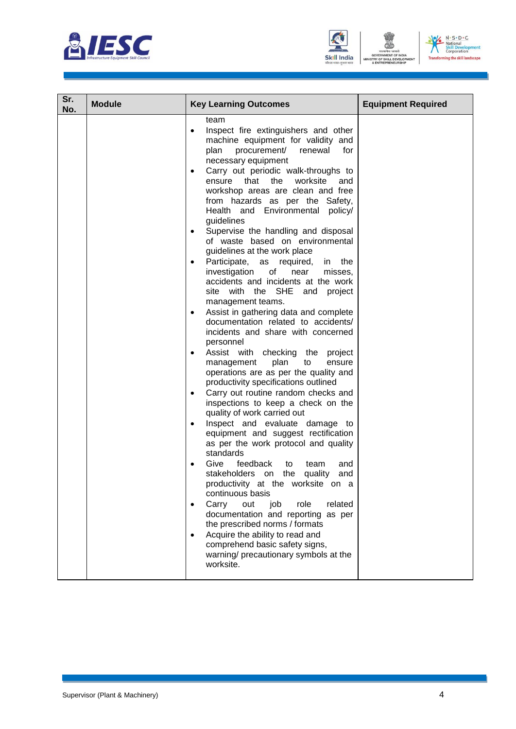





| Sr.<br>No. | <b>Module</b> | <b>Key Learning Outcomes</b>                                                                                                                                                                                                                                                                                                                                                                                                                                                                                                                                                                                                                                                                                                                                                                                                                                                                                                                                                                                                                                                                                                                                                                                                                                                                                                                                                                                                                                                                                                                                                                                                                                              | <b>Equipment Required</b> |
|------------|---------------|---------------------------------------------------------------------------------------------------------------------------------------------------------------------------------------------------------------------------------------------------------------------------------------------------------------------------------------------------------------------------------------------------------------------------------------------------------------------------------------------------------------------------------------------------------------------------------------------------------------------------------------------------------------------------------------------------------------------------------------------------------------------------------------------------------------------------------------------------------------------------------------------------------------------------------------------------------------------------------------------------------------------------------------------------------------------------------------------------------------------------------------------------------------------------------------------------------------------------------------------------------------------------------------------------------------------------------------------------------------------------------------------------------------------------------------------------------------------------------------------------------------------------------------------------------------------------------------------------------------------------------------------------------------------------|---------------------------|
|            |               | team<br>Inspect fire extinguishers and other<br>$\bullet$<br>machine equipment for validity and<br>plan procurement/<br>renewal<br>for<br>necessary equipment<br>Carry out periodic walk-throughs to<br>$\bullet$<br>ensure<br>that the<br>worksite<br>and<br>workshop areas are clean and free<br>from hazards as per the Safety,<br>Health and Environmental policy/<br>guidelines<br>Supervise the handling and disposal<br>٠<br>of waste based on environmental<br>guidelines at the work place<br>Participate,<br>as<br>required,<br>the<br>in<br>investigation<br>of<br>near<br>misses,<br>accidents and incidents at the work<br>site with the SHE and project<br>management teams.<br>Assist in gathering data and complete<br>documentation related to accidents/<br>incidents and share with concerned<br>personnel<br>Assist with checking the project<br>$\bullet$<br>plan<br>management<br>to<br>ensure<br>operations are as per the quality and<br>productivity specifications outlined<br>Carry out routine random checks and<br>$\bullet$<br>inspections to keep a check on the<br>quality of work carried out<br>Inspect and evaluate damage to<br>٠<br>equipment and suggest rectification<br>as per the work protocol and quality<br>standards<br>Give<br>feedback<br>team<br>to<br>and<br>stakeholders on<br>the<br>quality<br>and<br>productivity at the worksite on a<br>continuous basis<br>Carry<br>role<br>related<br>out<br>job<br>documentation and reporting as per<br>the prescribed norms / formats<br>Acquire the ability to read and<br>$\bullet$<br>comprehend basic safety signs,<br>warning/ precautionary symbols at the<br>worksite. |                           |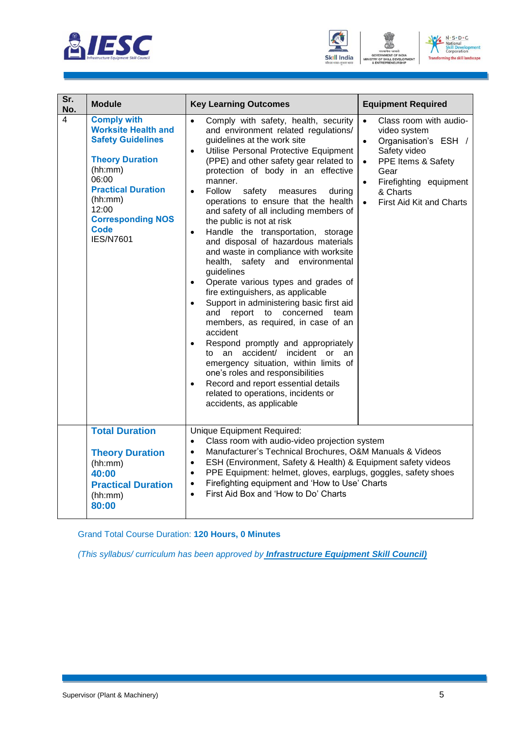





| Sr.            |                                                                                                                                                                                                                                            |                                                                                                                                                                                                                                                                                                                                                                                                                                                                                                                                                                                                                                                                                                                                                                                                                                                                                                                                                                                                                                                                                                                                                                          |                                                                                                                                                                                                                                           |  |
|----------------|--------------------------------------------------------------------------------------------------------------------------------------------------------------------------------------------------------------------------------------------|--------------------------------------------------------------------------------------------------------------------------------------------------------------------------------------------------------------------------------------------------------------------------------------------------------------------------------------------------------------------------------------------------------------------------------------------------------------------------------------------------------------------------------------------------------------------------------------------------------------------------------------------------------------------------------------------------------------------------------------------------------------------------------------------------------------------------------------------------------------------------------------------------------------------------------------------------------------------------------------------------------------------------------------------------------------------------------------------------------------------------------------------------------------------------|-------------------------------------------------------------------------------------------------------------------------------------------------------------------------------------------------------------------------------------------|--|
| No.            | <b>Module</b>                                                                                                                                                                                                                              | <b>Key Learning Outcomes</b>                                                                                                                                                                                                                                                                                                                                                                                                                                                                                                                                                                                                                                                                                                                                                                                                                                                                                                                                                                                                                                                                                                                                             | <b>Equipment Required</b>                                                                                                                                                                                                                 |  |
| $\overline{4}$ | <b>Comply with</b><br><b>Worksite Health and</b><br><b>Safety Guidelines</b><br><b>Theory Duration</b><br>(hh:mm)<br>06:00<br><b>Practical Duration</b><br>(hh:mm)<br>12:00<br><b>Corresponding NOS</b><br><b>Code</b><br><b>IES/N7601</b> | Comply with safety, health, security<br>$\bullet$<br>and environment related regulations/<br>guidelines at the work site<br>Utilise Personal Protective Equipment<br>$\bullet$<br>(PPE) and other safety gear related to<br>protection of body in an effective<br>manner.<br>Follow<br>safety<br>measures<br>during<br>$\bullet$<br>operations to ensure that the health<br>and safety of all including members of<br>the public is not at risk<br>Handle the transportation, storage<br>$\bullet$<br>and disposal of hazardous materials<br>and waste in compliance with worksite<br>health, safety and environmental<br>guidelines<br>Operate various types and grades of<br>$\bullet$<br>fire extinguishers, as applicable<br>Support in administering basic first aid<br>$\bullet$<br>and report to concerned<br>team<br>members, as required, in case of an<br>accident<br>Respond promptly and appropriately<br>$\bullet$<br>to an accident/ incident or<br>an<br>emergency situation, within limits of<br>one's roles and responsibilities<br>Record and report essential details<br>$\bullet$<br>related to operations, incidents or<br>accidents, as applicable | Class room with audio-<br>$\bullet$<br>video system<br>Organisation's ESH /<br>$\bullet$<br>Safety video<br>PPE Items & Safety<br>$\bullet$<br>Gear<br>Firefighting equipment<br>$\bullet$<br>& Charts<br><b>First Aid Kit and Charts</b> |  |
|                | <b>Total Duration</b><br><b>Theory Duration</b><br>(hh:mm)<br>40:00<br><b>Practical Duration</b><br>(hh:mm)<br>80:00                                                                                                                       | Unique Equipment Required:<br>Class room with audio-video projection system<br>$\bullet$<br>Manufacturer's Technical Brochures, O&M Manuals & Videos<br>$\bullet$<br>ESH (Environment, Safety & Health) & Equipment safety videos<br>$\bullet$<br>PPE Equipment: helmet, gloves, earplugs, goggles, safety shoes<br>$\bullet$<br>Firefighting equipment and 'How to Use' Charts<br>$\bullet$<br>First Aid Box and 'How to Do' Charts<br>$\bullet$                                                                                                                                                                                                                                                                                                                                                                                                                                                                                                                                                                                                                                                                                                                        |                                                                                                                                                                                                                                           |  |

Grand Total Course Duration: **120 Hours, 0 Minutes**

*(This syllabus/ curriculum has been approved by Infrastructure Equipment Skill Council)*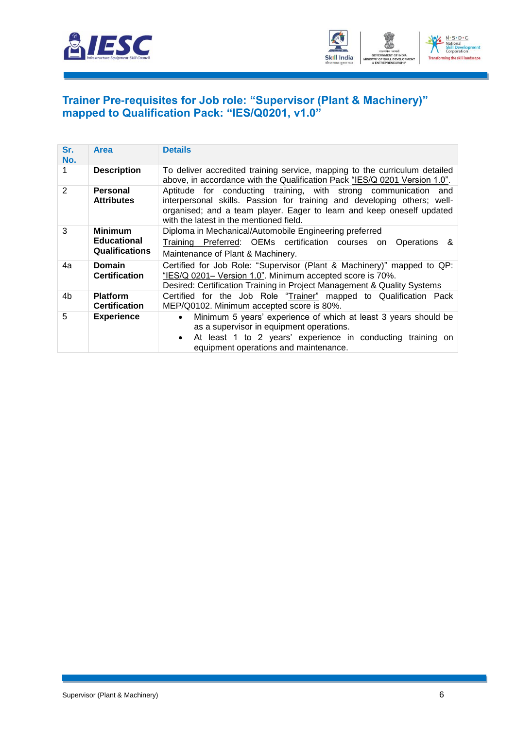



#### <span id="page-8-0"></span>**Trainer Pre-requisites for Job role: "Supervisor (Plant & Machinery)" mapped to Qualification Pack: "IES/Q0201, v1.0"**

| Sr.<br>No.     | Area                                                          | <b>Details</b>                                                                                                                                                                                                                                                 |  |  |  |
|----------------|---------------------------------------------------------------|----------------------------------------------------------------------------------------------------------------------------------------------------------------------------------------------------------------------------------------------------------------|--|--|--|
|                | <b>Description</b>                                            | To deliver accredited training service, mapping to the curriculum detailed<br>above, in accordance with the Qualification Pack "IES/Q 0201 Version 1.0".                                                                                                       |  |  |  |
| $\overline{2}$ | <b>Personal</b><br><b>Attributes</b>                          | Aptitude for conducting training, with strong communication and<br>interpersonal skills. Passion for training and developing others; well-<br>organised; and a team player. Eager to learn and keep oneself updated<br>with the latest in the mentioned field. |  |  |  |
| 3              | <b>Minimum</b><br><b>Educational</b><br><b>Qualifications</b> | Diploma in Mechanical/Automobile Engineering preferred<br>Training Preferred: OEMs certification courses on<br>Operations &<br>Maintenance of Plant & Machinery.                                                                                               |  |  |  |
| 4a             | <b>Domain</b><br><b>Certification</b>                         | Certified for Job Role: "Supervisor (Plant & Machinery)" mapped to QP:<br>"IES/Q 0201- Version 1.0". Minimum accepted score is 70%.<br>Desired: Certification Training in Project Management & Quality Systems                                                 |  |  |  |
| 4b             | <b>Platform</b><br><b>Certification</b>                       | Certified for the Job Role "Trainer" mapped to Qualification Pack<br>MEP/Q0102. Minimum accepted score is 80%.                                                                                                                                                 |  |  |  |
| 5              | <b>Experience</b>                                             | Minimum 5 years' experience of which at least 3 years should be<br>$\bullet$<br>as a supervisor in equipment operations.<br>At least 1 to 2 years' experience in conducting training on<br>$\bullet$<br>equipment operations and maintenance.                  |  |  |  |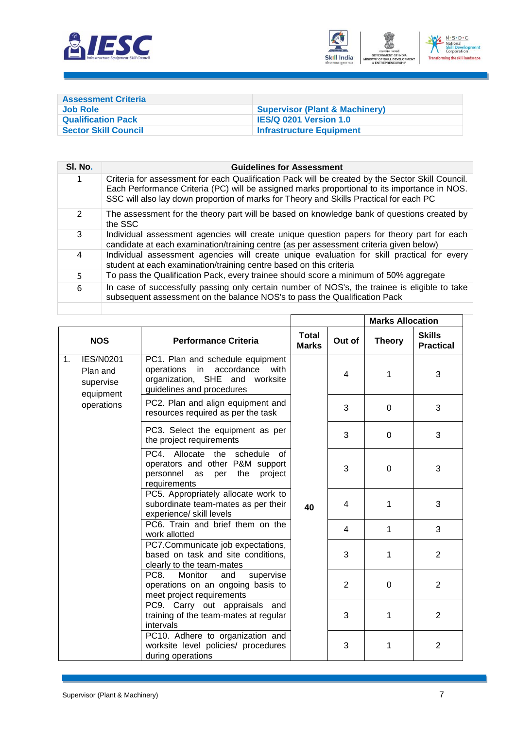



<span id="page-9-0"></span>

| <b>Assessment Criteria</b>  |                                           |
|-----------------------------|-------------------------------------------|
| <b>Job Role</b>             | <b>Supervisor (Plant &amp; Machinery)</b> |
| <b>Qualification Pack</b>   | <b>IES/Q 0201 Version 1.0</b>             |
| <b>Sector Skill Council</b> | <b>Infrastructure Equipment</b>           |

| SI. No.       | <b>Guidelines for Assessment</b>                                                                                                                                                                                                                                                           |
|---------------|--------------------------------------------------------------------------------------------------------------------------------------------------------------------------------------------------------------------------------------------------------------------------------------------|
|               | Criteria for assessment for each Qualification Pack will be created by the Sector Skill Council.<br>Each Performance Criteria (PC) will be assigned marks proportional to its importance in NOS.<br>SSC will also lay down proportion of marks for Theory and Skills Practical for each PC |
| $\mathcal{P}$ | The assessment for the theory part will be based on knowledge bank of questions created by<br>the SSC                                                                                                                                                                                      |
| 3             | Individual assessment agencies will create unique question papers for theory part for each<br>candidate at each examination/training centre (as per assessment criteria given below)                                                                                                       |
| 4             | Individual assessment agencies will create unique evaluation for skill practical for every<br>student at each examination/training centre based on this criteria                                                                                                                           |
| 5.            | To pass the Qualification Pack, every trainee should score a minimum of 50% aggregate                                                                                                                                                                                                      |
| 6             | In case of successfully passing only certain number of NOS's, the trainee is eligible to take<br>subsequent assessment on the balance NOS's to pass the Qualification Pack                                                                                                                 |
|               |                                                                                                                                                                                                                                                                                            |

Г

|    |                                                        |                                                                                                                                              |                              |        | <b>Marks Allocation</b> |                                   |
|----|--------------------------------------------------------|----------------------------------------------------------------------------------------------------------------------------------------------|------------------------------|--------|-------------------------|-----------------------------------|
|    | <b>NOS</b>                                             | <b>Performance Criteria</b>                                                                                                                  | <b>Total</b><br><b>Marks</b> | Out of | <b>Theory</b>           | <b>Skills</b><br><b>Practical</b> |
| 1. | <b>IES/N0201</b><br>Plan and<br>supervise<br>equipment | PC1. Plan and schedule equipment<br>operations<br>in<br>accordance<br>with<br>organization, SHE and<br>worksite<br>guidelines and procedures |                              | 4      | 1                       | 3                                 |
|    | operations                                             | PC2. Plan and align equipment and<br>resources required as per the task                                                                      |                              | 3      | $\overline{0}$          | 3                                 |
|    |                                                        | PC3. Select the equipment as per<br>the project requirements                                                                                 |                              | 3      | 0                       | 3                                 |
|    |                                                        | PC4. Allocate the schedule of<br>operators and other P&M support<br>personnel as<br>the project<br>per<br>requirements                       |                              | 3      | $\overline{0}$          | 3                                 |
|    |                                                        | PC5. Appropriately allocate work to<br>subordinate team-mates as per their<br>experience/ skill levels                                       | 40                           | 4      | 1                       | 3                                 |
|    |                                                        | PC6. Train and brief them on the<br>work allotted                                                                                            |                              | 4      | $\mathbf{1}$            | 3                                 |
|    |                                                        | PC7.Communicate job expectations,<br>based on task and site conditions,<br>clearly to the team-mates                                         |                              | 3      | 1                       | $\overline{2}$                    |
|    |                                                        | PC <sub>8</sub><br>Monitor<br>supervise<br>and<br>operations on an ongoing basis to<br>meet project requirements                             |                              | 2      | $\Omega$                | $\overline{2}$                    |
|    |                                                        | PC9. Carry out appraisals and<br>training of the team-mates at regular<br>intervals                                                          |                              | 3      | 1                       | $\overline{2}$                    |
|    |                                                        | PC10. Adhere to organization and<br>worksite level policies/ procedures<br>during operations                                                 |                              | 3      | $\mathbf{1}$            | $\overline{2}$                    |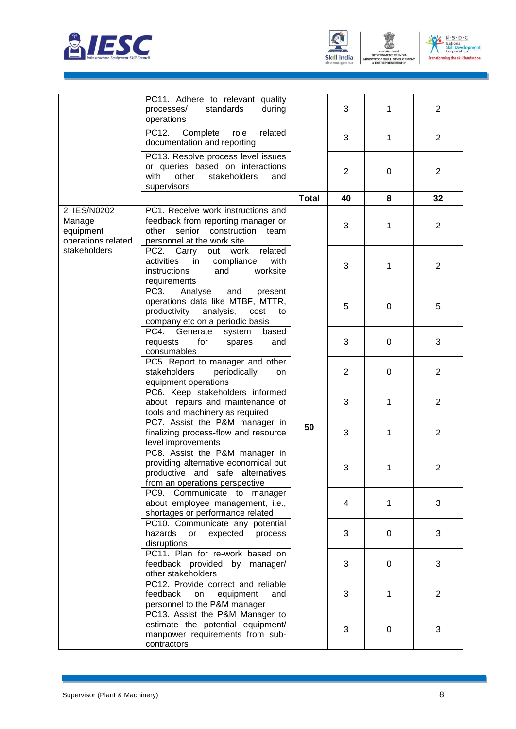



। जब<br>NT OF

ENT



|                                                           | PC11. Adhere to relevant quality<br>standards<br>processes/<br>during<br>operations                                                                 |              | 3              | $\mathbf{1}$ | $\overline{2}$ |
|-----------------------------------------------------------|-----------------------------------------------------------------------------------------------------------------------------------------------------|--------------|----------------|--------------|----------------|
|                                                           | PC12.<br>Complete<br>role<br>related<br>documentation and reporting                                                                                 |              | 3              | $\mathbf{1}$ | $\overline{2}$ |
|                                                           | PC13. Resolve process level issues<br>or queries based on interactions<br>other<br>with<br>stakeholders<br>and<br>supervisors                       |              | $\overline{2}$ | 0            | $\overline{2}$ |
|                                                           |                                                                                                                                                     | <b>Total</b> | 40             | 8            | 32             |
| 2. IES/N0202<br>Manage<br>equipment<br>operations related | PC1. Receive work instructions and<br>feedback from reporting manager or<br>senior construction team<br>other<br>personnel at the work site         |              | 3              | 1            | $\overline{2}$ |
| stakeholders                                              | PC2. Carry out work<br>related<br>activities<br>in<br>compliance<br>with<br>instructions<br>and<br>worksite<br>requirements                         |              | 3              | $\mathbf{1}$ | $\overline{2}$ |
|                                                           | PC3.<br>Analyse<br>and<br>present<br>operations data like MTBF, MTTR,<br>productivity<br>analysis,<br>cost<br>to<br>company etc on a periodic basis |              | 5              | 0            | 5              |
|                                                           | PC4.<br>Generate<br>based<br>system<br>for<br>requests<br>spares<br>and<br>consumables                                                              |              | 3              | 0            | 3              |
|                                                           | PC5. Report to manager and other<br>stakeholders<br>periodically<br>on<br>equipment operations                                                      |              | $\overline{2}$ | 0            | $\overline{2}$ |
|                                                           | PC6. Keep stakeholders informed<br>about repairs and maintenance of<br>tools and machinery as required                                              |              | 3              | $\mathbf{1}$ | $\overline{2}$ |
|                                                           | PC7. Assist the P&M manager in<br>finalizing process-flow and resource<br>level improvements                                                        | 50           | 3              | $\mathbf{1}$ | $\overline{2}$ |
|                                                           | PC8. Assist the P&M manager in<br>providing alternative economical but<br>productive and safe alternatives<br>from an operations perspective        |              | 3              | 1            | 2              |
|                                                           | PC9. Communicate to manager<br>about employee management, i.e.,<br>shortages or performance related                                                 |              | 4              | 1            | 3              |
|                                                           | PC10. Communicate any potential<br>hazards<br>expected<br>process<br>or<br>disruptions                                                              |              | 3              | 0            | 3              |
|                                                           | PC11. Plan for re-work based on<br>feedback provided by manager/<br>other stakeholders                                                              |              | 3              | 0            | 3              |
|                                                           | PC12. Provide correct and reliable<br>feedback<br>on<br>equipment<br>and<br>personnel to the P&M manager                                            |              | 3              | 1            | $\overline{2}$ |
|                                                           | PC13. Assist the P&M Manager to<br>estimate the potential equipment/<br>manpower requirements from sub-<br>contractors                              |              | 3              | 0            | 3              |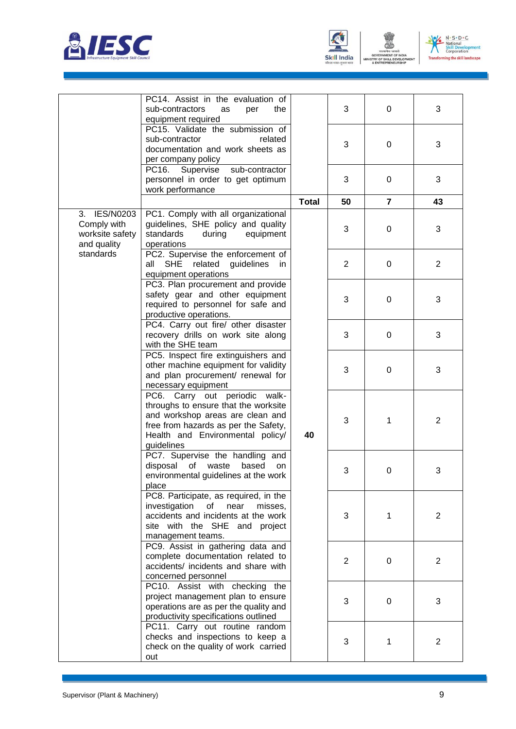





ENT

|                                                                            | PC14. Assist in the evaluation of<br>sub-contractors<br>as<br>per<br>the<br>equipment required                                                                                                      |              | 3              | 0              | 3              |
|----------------------------------------------------------------------------|-----------------------------------------------------------------------------------------------------------------------------------------------------------------------------------------------------|--------------|----------------|----------------|----------------|
|                                                                            | PC15. Validate the submission of<br>related<br>sub-contractor<br>documentation and work sheets as<br>per company policy                                                                             |              | 3              | 0              | 3              |
|                                                                            | Supervise<br>sub-contractor<br>PC16.<br>personnel in order to get optimum<br>work performance                                                                                                       |              | 3              | $\mathbf 0$    | 3              |
|                                                                            |                                                                                                                                                                                                     | <b>Total</b> | 50             | $\overline{7}$ | 43             |
| 3. IES/N0203<br>Comply with<br>worksite safety<br>and quality<br>standards | PC1. Comply with all organizational<br>guidelines, SHE policy and quality<br>standards<br>during<br>equipment<br>operations                                                                         |              | 3              | 0              | 3              |
|                                                                            | PC2. Supervise the enforcement of<br><b>SHE</b><br>related guidelines<br>all<br>in.<br>equipment operations                                                                                         |              | $\overline{2}$ | 0              | $\overline{2}$ |
|                                                                            | PC3. Plan procurement and provide<br>safety gear and other equipment<br>required to personnel for safe and<br>productive operations.                                                                |              | 3              | $\mathbf 0$    | 3              |
|                                                                            | PC4. Carry out fire/ other disaster<br>recovery drills on work site along<br>with the SHE team                                                                                                      |              | 3              | $\mathbf 0$    | 3              |
|                                                                            | PC5. Inspect fire extinguishers and<br>other machine equipment for validity<br>and plan procurement/ renewal for<br>necessary equipment                                                             |              | 3              | 0              | 3              |
|                                                                            | PC6. Carry out periodic walk-<br>throughs to ensure that the worksite<br>and workshop areas are clean and<br>free from hazards as per the Safety,<br>Health and Environmental policy/<br>guidelines | 40           | 3              | 1              | $\overline{2}$ |
|                                                                            | PC7. Supervise the handling and<br>disposal<br>of<br>waste<br>based<br>on<br>environmental guidelines at the work<br>place                                                                          |              | 3              | 0              | 3              |
|                                                                            | PC8. Participate, as required, in the<br>investigation of<br>near<br>misses,<br>accidents and incidents at the work<br>site with the SHE and project<br>management teams.                           |              | 3              | 1              | $\overline{2}$ |
|                                                                            | PC9. Assist in gathering data and<br>complete documentation related to<br>accidents/ incidents and share with<br>concerned personnel                                                                |              | 2              | 0              | $\overline{2}$ |
|                                                                            | PC10. Assist with checking the<br>project management plan to ensure<br>operations are as per the quality and<br>productivity specifications outlined                                                |              | 3              | $\mathbf 0$    | 3              |
|                                                                            | PC11. Carry out routine random<br>checks and inspections to keep a<br>check on the quality of work carried<br>out                                                                                   |              | 3              | 1              | $\overline{2}$ |